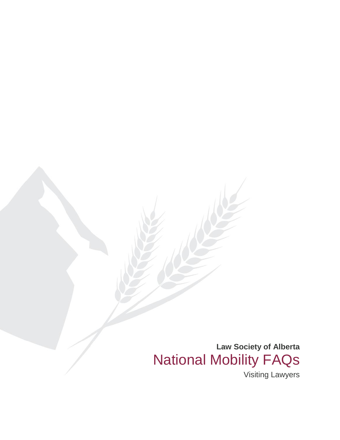**Law Society of Alberta** National Mobility FAQs

Visiting Lawyers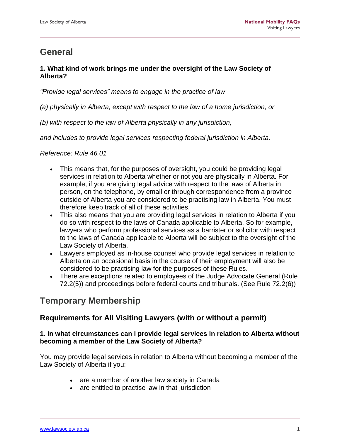# **General**

# **1. What kind of work brings me under the oversight of the Law Society of Alberta?**

*"Provide legal services" means to engage in the practice of law*

- *(a) physically in Alberta, except with respect to the law of a home jurisdiction, or*
- *(b) with respect to the law of Alberta physically in any jurisdiction,*

*and includes to provide legal services respecting federal jurisdiction in Alberta.*

*Reference: Rule 46.01*

- This means that, for the purposes of oversight, you could be providing legal services in relation to Alberta whether or not you are physically in Alberta. For example, if you are giving legal advice with respect to the laws of Alberta in person, on the telephone, by email or through correspondence from a province outside of Alberta you are considered to be practising law in Alberta. You must therefore keep track of all of these activities.
- This also means that you are providing legal services in relation to Alberta if you do so with respect to the laws of Canada applicable to Alberta. So for example, lawyers who perform professional services as a barrister or solicitor with respect to the laws of Canada applicable to Alberta will be subject to the oversight of the Law Society of Alberta.
- Lawyers employed as in-house counsel who provide legal services in relation to Alberta on an occasional basis in the course of their employment will also be considered to be practising law for the purposes of these Rules.
- There are exceptions related to employees of the Judge Advocate General (Rule 72.2(5)) and proceedings before federal courts and tribunals. (See Rule 72.2(6))

# **Temporary Membership**

# **Requirements for All Visiting Lawyers (with or without a permit)**

## **1. In what circumstances can I provide legal services in relation to Alberta without becoming a member of the Law Society of Alberta?**

You may provide legal services in relation to Alberta without becoming a member of the Law Society of Alberta if you:

- are a member of another law society in Canada
- are entitled to practise law in that jurisdiction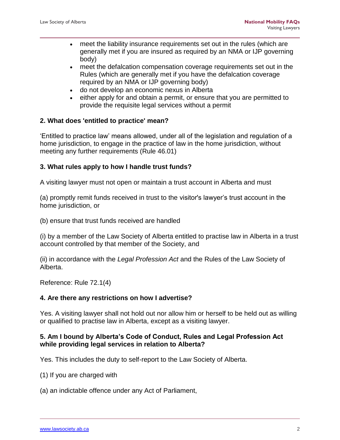- meet the liability insurance requirements set out in the rules (which are generally met if you are insured as required by an NMA or IJP governing body)
- meet the defalcation compensation coverage requirements set out in the Rules (which are generally met if you have the defalcation coverage required by an NMA or IJP governing body)
- do not develop an economic nexus in Alberta
- either apply for and obtain a permit, or ensure that you are permitted to provide the requisite legal services without a permit

## **2. What does 'entitled to practice' mean?**

'Entitled to practice law' means allowed, under all of the legislation and regulation of a home jurisdiction, to engage in the practice of law in the home jurisdiction, without meeting any further requirements (Rule 46.01)

### **3. What rules apply to how I handle trust funds?**

A visiting lawyer must not open or maintain a trust account in Alberta and must

(a) promptly remit funds received in trust to the visitor's lawyer's trust account in the home jurisdiction, or

(b) ensure that trust funds received are handled

(i) by a member of the Law Society of Alberta entitled to practise law in Alberta in a trust account controlled by that member of the Society, and

(ii) in accordance with the *Legal Profession Act* and the Rules of the Law Society of Alberta.

Reference: Rule 72.1(4)

### **4. Are there any restrictions on how I advertise?**

Yes. A visiting lawyer shall not hold out nor allow him or herself to be held out as willing or qualified to practise law in Alberta, except as a visiting lawyer.

## **5. Am I bound by Alberta's Code of Conduct, Rules and Legal Profession Act while providing legal services in relation to Alberta?**

Yes. This includes the duty to self-report to the Law Society of Alberta.

- (1) If you are charged with
- (a) an indictable offence under any Act of Parliament,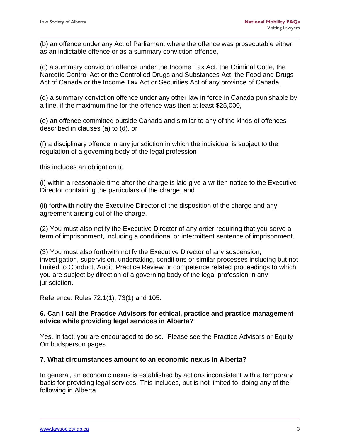(b) an offence under any Act of Parliament where the offence was prosecutable either as an indictable offence or as a summary conviction offence,

(c) a summary conviction offence under the Income Tax Act, the Criminal Code, the Narcotic Control Act or the Controlled Drugs and Substances Act, the Food and Drugs Act of Canada or the Income Tax Act or Securities Act of any province of Canada,

(d) a summary conviction offence under any other law in force in Canada punishable by a fine, if the maximum fine for the offence was then at least \$25,000,

(e) an offence committed outside Canada and similar to any of the kinds of offences described in clauses (a) to (d), or

(f) a disciplinary offence in any jurisdiction in which the individual is subject to the regulation of a governing body of the legal profession

this includes an obligation to

(i) within a reasonable time after the charge is laid give a written notice to the Executive Director containing the particulars of the charge, and

(ii) forthwith notify the Executive Director of the disposition of the charge and any agreement arising out of the charge.

(2) You must also notify the Executive Director of any order requiring that you serve a term of imprisonment, including a conditional or intermittent sentence of imprisonment.

(3) You must also forthwith notify the Executive Director of any suspension, investigation, supervision, undertaking, conditions or similar processes including but not limited to Conduct, Audit, Practice Review or competence related proceedings to which you are subject by direction of a governing body of the legal profession in any jurisdiction.

Reference: Rules 72.1(1), 73(1) and 105.

### **6. Can I call the Practice Advisors for ethical, practice and practice management advice while providing legal services in Alberta?**

Yes. In fact, you are encouraged to do so. Please see the Practice Advisors or Equity Ombudsperson pages.

### **7. What circumstances amount to an economic nexus in Alberta?**

In general, an economic nexus is established by actions inconsistent with a temporary basis for providing legal services. This includes, but is not limited to, doing any of the following in Alberta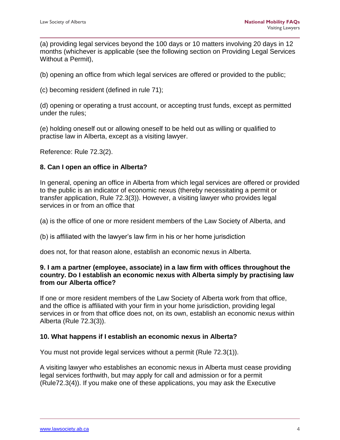(a) providing legal services beyond the 100 days or 10 matters involving 20 days in 12 months (whichever is applicable (see the following section on Providing Legal Services Without a Permit),

(b) opening an office from which legal services are offered or provided to the public;

(c) becoming resident (defined in rule 71);

(d) opening or operating a trust account, or accepting trust funds, except as permitted under the rules;

(e) holding oneself out or allowing oneself to be held out as willing or qualified to practise law in Alberta, except as a visiting lawyer.

Reference: Rule 72.3(2).

### **8. Can I open an office in Alberta?**

In general, opening an office in Alberta from which legal services are offered or provided to the public is an indicator of economic nexus (thereby necessitating a permit or transfer application, Rule 72.3(3)). However, a visiting lawyer who provides legal services in or from an office that

(a) is the office of one or more resident members of the Law Society of Alberta, and

(b) is affiliated with the lawyer's law firm in his or her home jurisdiction

does not, for that reason alone, establish an economic nexus in Alberta.

#### **9. I am a partner (employee, associate) in a law firm with offices throughout the country. Do I establish an economic nexus with Alberta simply by practising law from our Alberta office?**

If one or more resident members of the Law Society of Alberta work from that office, and the office is affiliated with your firm in your home jurisdiction, providing legal services in or from that office does not, on its own, establish an economic nexus within Alberta (Rule 72.3(3)).

#### **10. What happens if I establish an economic nexus in Alberta?**

You must not provide legal services without a permit (Rule 72.3(1)).

A visiting lawyer who establishes an economic nexus in Alberta must cease providing legal services forthwith, but may apply for call and admission or for a permit (Rule72.3(4)). If you make one of these applications, you may ask the Executive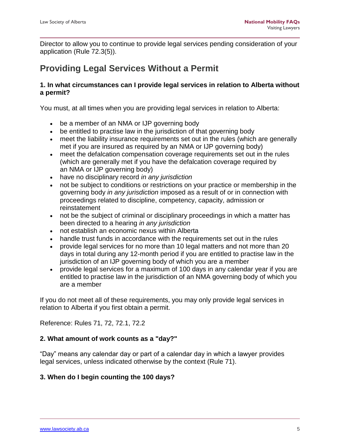Director to allow you to continue to provide legal services pending consideration of your application (Rule 72.3(5)).

# **Providing Legal Services Without a Permit**

## **1. In what circumstances can I provide legal services in relation to Alberta without a permit?**

You must, at all times when you are providing legal services in relation to Alberta:

- be a member of an NMA or IJP governing body
- be entitled to practise law in the jurisdiction of that governing body
- meet the liability insurance requirements set out in the rules (which are generally met if you are insured as required by an NMA or IJP governing body)
- meet the defalcation compensation coverage requirements set out in the rules (which are generally met if you have the defalcation coverage required by an NMA or IJP governing body)
- have no disciplinary record *in any jurisdiction*
- not be subject to conditions or restrictions on your practice or membership in the governing body *in any jurisdiction* imposed as a result of or in connection with proceedings related to discipline, competency, capacity, admission or reinstatement
- not be the subject of criminal or disciplinary proceedings in which a matter has been directed to a hearing *in any jurisdiction*
- not establish an economic nexus within Alberta
- handle trust funds in accordance with the requirements set out in the rules
- provide legal services for no more than 10 legal matters and not more than 20 days in total during any 12-month period if you are entitled to practise law in the jurisdiction of an IJP governing body of which you are a member
- provide legal services for a maximum of 100 days in any calendar year if you are entitled to practise law in the jurisdiction of an NMA governing body of which you are a member

If you do not meet all of these requirements, you may only provide legal services in relation to Alberta if you first obtain a permit.

Reference: Rules 71, 72, 72.1, 72.2

# **2. What amount of work counts as a "day?"**

"Day" means any calendar day or part of a calendar day in which a lawyer provides legal services, unless indicated otherwise by the context (Rule 71).

# **3. When do I begin counting the 100 days?**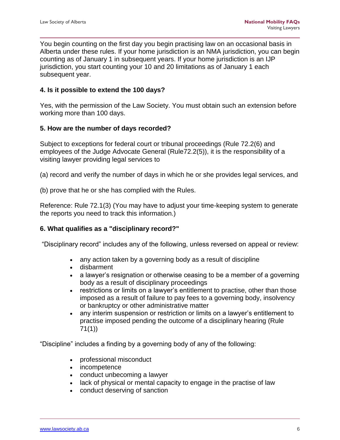You begin counting on the first day you begin practising law on an occasional basis in Alberta under these rules. If your home jurisdiction is an NMA jurisdiction, you can begin counting as of January 1 in subsequent years. If your home jurisdiction is an IJP jurisdiction, you start counting your 10 and 20 limitations as of January 1 each subsequent year.

## **4. Is it possible to extend the 100 days?**

Yes, with the permission of the Law Society. You must obtain such an extension before working more than 100 days.

### **5. How are the number of days recorded?**

Subject to exceptions for federal court or tribunal proceedings (Rule 72.2(6) and employees of the Judge Advocate General (Rule72.2(5)), it is the responsibility of a visiting lawyer providing legal services to

- (a) record and verify the number of days in which he or she provides legal services, and
- (b) prove that he or she has complied with the Rules.

Reference: Rule 72.1(3) (You may have to adjust your time-keeping system to generate the reports you need to track this information.)

### **6. What qualifies as a "disciplinary record?"**

"Disciplinary record" includes any of the following, unless reversed on appeal or review:

- any action taken by a governing body as a result of discipline
- disbarment
- a lawyer's resignation or otherwise ceasing to be a member of a governing body as a result of disciplinary proceedings
- restrictions or limits on a lawyer's entitlement to practise, other than those imposed as a result of failure to pay fees to a governing body, insolvency or bankruptcy or other administrative matter
- any interim suspension or restriction or limits on a lawyer's entitlement to practise imposed pending the outcome of a disciplinary hearing (Rule 71(1))

"Discipline" includes a finding by a governing body of any of the following:

- professional misconduct
- incompetence
- conduct unbecoming a lawyer
- lack of physical or mental capacity to engage in the practise of law
- conduct deserving of sanction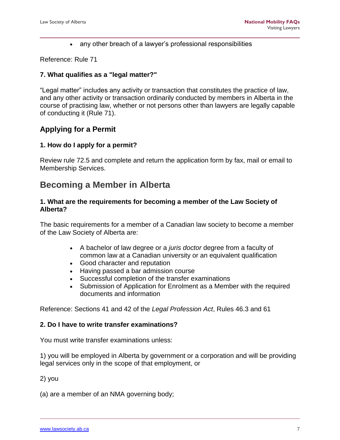• any other breach of a lawyer's professional responsibilities

Reference: Rule 71

#### **7. What qualifies as a "legal matter?"**

"Legal matter" includes any activity or transaction that constitutes the practice of law, and any other activity or transaction ordinarily conducted by members in Alberta in the course of practising law, whether or not persons other than lawyers are legally capable of conducting it (Rule 71).

# **Applying for a Permit**

### **1. How do I apply for a permit?**

Review rule 72.5 and complete and return the application form by fax, mail or email to Membership Services.

# **Becoming a Member in Alberta**

#### **1. What are the requirements for becoming a member of the Law Society of Alberta?**

The basic requirements for a member of a Canadian law society to become a member of the Law Society of Alberta are:

- A bachelor of law degree or a *juris doctor* degree from a faculty of common law at a Canadian university or an equivalent qualification
- Good character and reputation
- Having passed a bar admission course
- Successful completion of the transfer examinations
- Submission of Application for Enrolment as a Member with the required documents and information

Reference: Sections 41 and 42 of the *Legal Profession Act*, Rules 46.3 and 61

#### **2. Do I have to write transfer examinations?**

You must write transfer examinations unless:

1) you will be employed in Alberta by government or a corporation and will be providing legal services only in the scope of that employment, or

2) you

(a) are a member of an NMA governing body;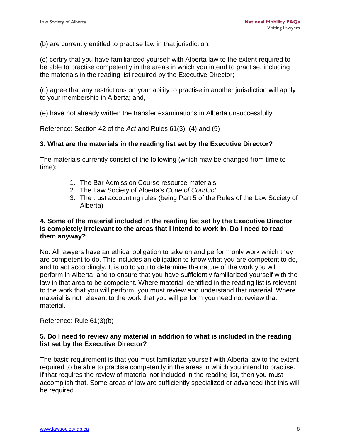(b) are currently entitled to practise law in that jurisdiction;

(c) certify that you have familiarized yourself with Alberta law to the extent required to be able to practise competently in the areas in which you intend to practise, including the materials in the reading list required by the Executive Director;

(d) agree that any restrictions on your ability to practise in another jurisdiction will apply to your membership in Alberta; and,

(e) have not already written the transfer examinations in Alberta unsuccessfully.

Reference: Section 42 of the *Act* and Rules 61(3), (4) and (5)

#### **3. What are the materials in the reading list set by the Executive Director?**

The materials currently consist of the following (which may be changed from time to time):

- 1. The Bar Admission Course resource materials
- 2. The Law Society of Alberta's *Code of Conduct*
- 3. The trust accounting rules (being Part 5 of the Rules of the Law Society of Alberta)

#### **4. Some of the material included in the reading list set by the Executive Director is completely irrelevant to the areas that I intend to work in. Do I need to read them anyway?**

No. All lawyers have an ethical obligation to take on and perform only work which they are competent to do. This includes an obligation to know what you are competent to do, and to act accordingly. It is up to you to determine the nature of the work you will perform in Alberta, and to ensure that you have sufficiently familiarized yourself with the law in that area to be competent. Where material identified in the reading list is relevant to the work that you will perform, you must review and understand that material. Where material is not relevant to the work that you will perform you need not review that material.

Reference: Rule 61(3)(b)

#### **5. Do I need to review any material in addition to what is included in the reading list set by the Executive Director?**

The basic requirement is that you must familiarize yourself with Alberta law to the extent required to be able to practise competently in the areas in which you intend to practise. If that requires the review of material not included in the reading list, then you must accomplish that. Some areas of law are sufficiently specialized or advanced that this will be required.